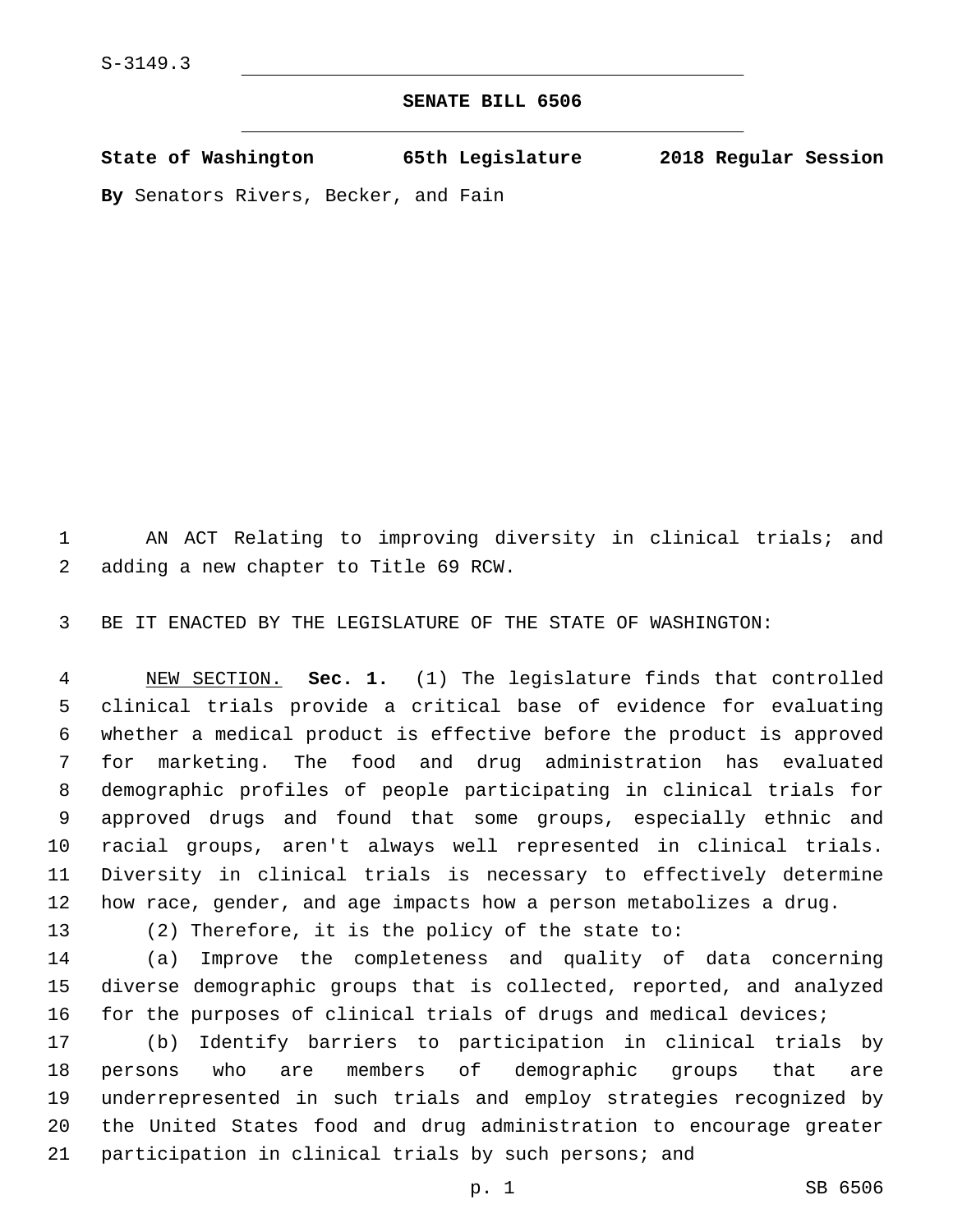## **SENATE BILL 6506**

**State of Washington 65th Legislature 2018 Regular Session By** Senators Rivers, Becker, and Fain

 AN ACT Relating to improving diversity in clinical trials; and 2 adding a new chapter to Title 69 RCW.

BE IT ENACTED BY THE LEGISLATURE OF THE STATE OF WASHINGTON:

 NEW SECTION. **Sec. 1.** (1) The legislature finds that controlled clinical trials provide a critical base of evidence for evaluating whether a medical product is effective before the product is approved for marketing. The food and drug administration has evaluated demographic profiles of people participating in clinical trials for approved drugs and found that some groups, especially ethnic and racial groups, aren't always well represented in clinical trials. Diversity in clinical trials is necessary to effectively determine how race, gender, and age impacts how a person metabolizes a drug.

(2) Therefore, it is the policy of the state to:

 (a) Improve the completeness and quality of data concerning diverse demographic groups that is collected, reported, and analyzed for the purposes of clinical trials of drugs and medical devices;

 (b) Identify barriers to participation in clinical trials by persons who are members of demographic groups that are underrepresented in such trials and employ strategies recognized by the United States food and drug administration to encourage greater participation in clinical trials by such persons; and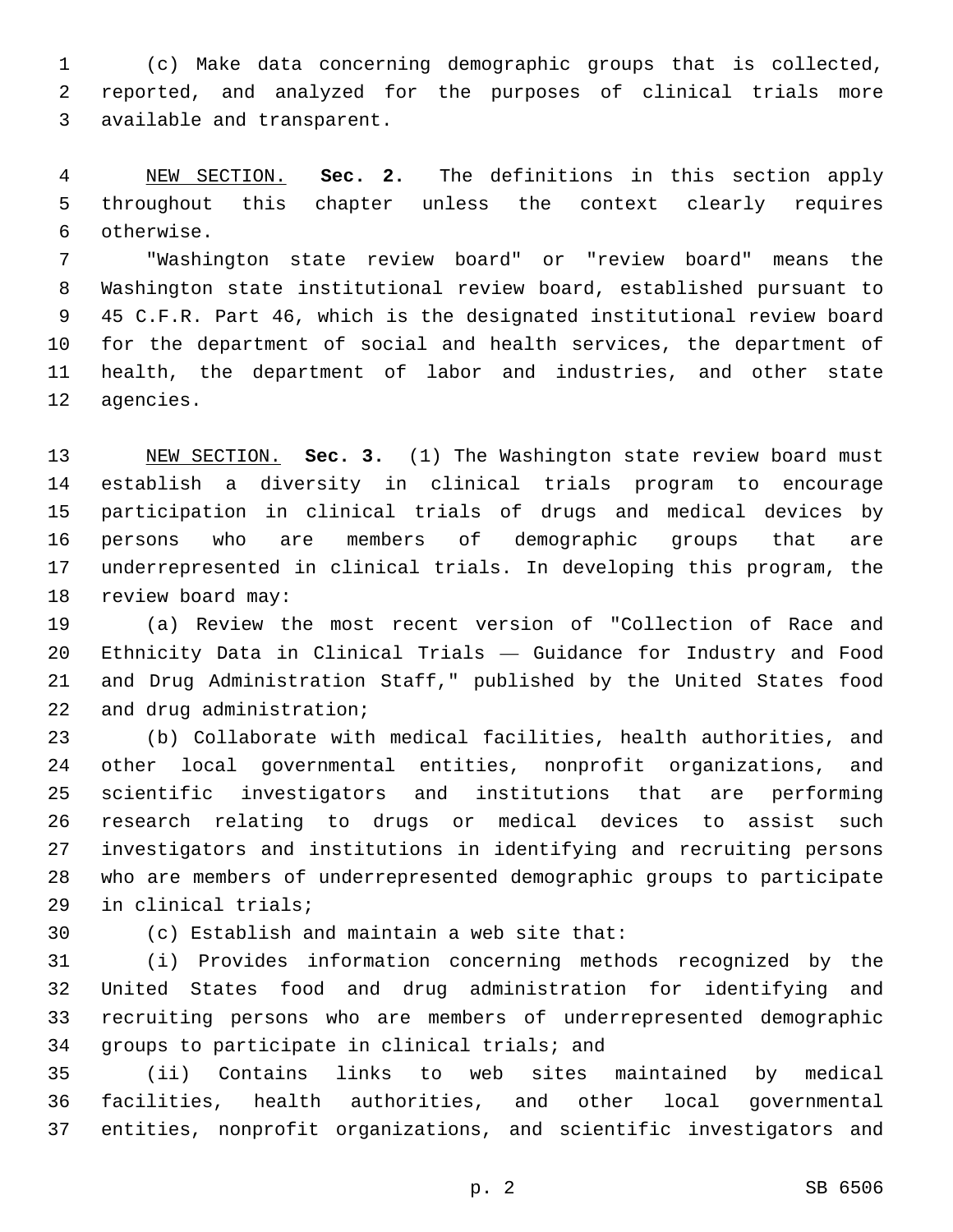(c) Make data concerning demographic groups that is collected, reported, and analyzed for the purposes of clinical trials more 3 available and transparent.

 NEW SECTION. **Sec. 2.** The definitions in this section apply throughout this chapter unless the context clearly requires otherwise.

 "Washington state review board" or "review board" means the Washington state institutional review board, established pursuant to 45 C.F.R. Part 46, which is the designated institutional review board for the department of social and health services, the department of health, the department of labor and industries, and other state 12 agencies.

 NEW SECTION. **Sec. 3.** (1) The Washington state review board must establish a diversity in clinical trials program to encourage participation in clinical trials of drugs and medical devices by persons who are members of demographic groups that are underrepresented in clinical trials. In developing this program, the review board may:

 (a) Review the most recent version of "Collection of Race and Ethnicity Data in Clinical Trials — Guidance for Industry and Food and Drug Administration Staff," published by the United States food 22 and drug administration;

 (b) Collaborate with medical facilities, health authorities, and other local governmental entities, nonprofit organizations, and scientific investigators and institutions that are performing research relating to drugs or medical devices to assist such investigators and institutions in identifying and recruiting persons who are members of underrepresented demographic groups to participate 29 in clinical trials;

(c) Establish and maintain a web site that:30

 (i) Provides information concerning methods recognized by the United States food and drug administration for identifying and recruiting persons who are members of underrepresented demographic 34 groups to participate in clinical trials; and

 (ii) Contains links to web sites maintained by medical facilities, health authorities, and other local governmental entities, nonprofit organizations, and scientific investigators and